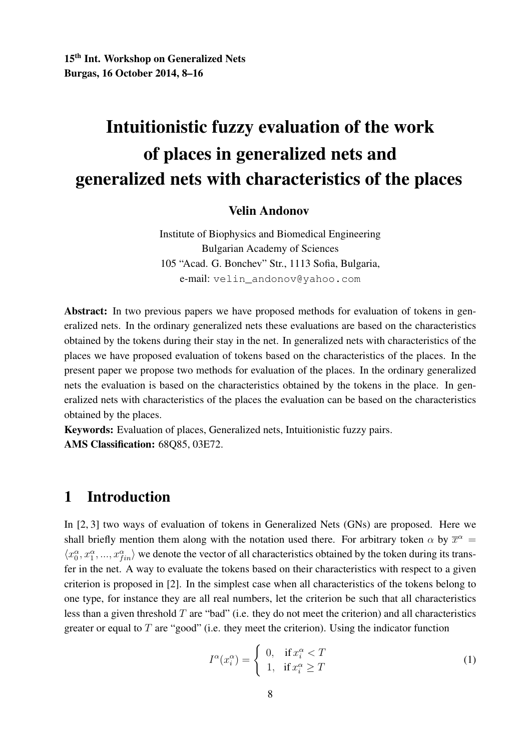# Intuitionistic fuzzy evaluation of the work of places in generalized nets and generalized nets with characteristics of the places

#### Velin Andonov

Institute of Biophysics and Biomedical Engineering Bulgarian Academy of Sciences 105 "Acad. G. Bonchev" Str., 1113 Sofia, Bulgaria, e-mail: velin\_andonov@yahoo.com

Abstract: In two previous papers we have proposed methods for evaluation of tokens in generalized nets. In the ordinary generalized nets these evaluations are based on the characteristics obtained by the tokens during their stay in the net. In generalized nets with characteristics of the places we have proposed evaluation of tokens based on the characteristics of the places. In the present paper we propose two methods for evaluation of the places. In the ordinary generalized nets the evaluation is based on the characteristics obtained by the tokens in the place. In generalized nets with characteristics of the places the evaluation can be based on the characteristics obtained by the places.

Keywords: Evaluation of places, Generalized nets, Intuitionistic fuzzy pairs. AMS Classification: 68Q85, 03E72.

## 1 Introduction

In [2, 3] two ways of evaluation of tokens in Generalized Nets (GNs) are proposed. Here we shall briefly mention them along with the notation used there. For arbitrary token  $\alpha$  by  $\overline{x}^{\alpha}$  =  $\langle x_0^\alpha, x_1^\alpha, ..., x_{fin}^\alpha \rangle$  we denote the vector of all characteristics obtained by the token during its transfer in the net. A way to evaluate the tokens based on their characteristics with respect to a given criterion is proposed in [2]. In the simplest case when all characteristics of the tokens belong to one type, for instance they are all real numbers, let the criterion be such that all characteristics less than a given threshold  $T$  are "bad" (i.e. they do not meet the criterion) and all characteristics greater or equal to  $T$  are "good" (i.e. they meet the criterion). Using the indicator function

$$
I^{\alpha}(x_i^{\alpha}) = \begin{cases} 0, & \text{if } x_i^{\alpha} < T \\ 1, & \text{if } x_i^{\alpha} \ge T \end{cases}
$$
 (1)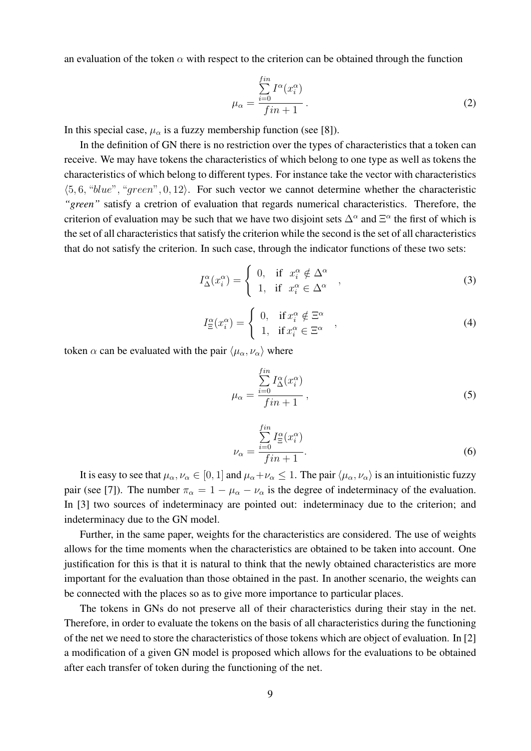an evaluation of the token  $\alpha$  with respect to the criterion can be obtained through the function

$$
\mu_{\alpha} = \frac{\sum_{i=0}^{fin} I^{\alpha}(x_i^{\alpha})}{fin + 1}.
$$
\n(2)

In this special case,  $\mu_{\alpha}$  is a fuzzy membership function (see [8]).

In the definition of GN there is no restriction over the types of characteristics that a token can receive. We may have tokens the characteristics of which belong to one type as well as tokens the characteristics of which belong to different types. For instance take the vector with characteristics  $\langle 5, 6, "blue", "green", 0, 12 \rangle$ . For such vector we cannot determine whether the characteristic *"green"* satisfy a cretrion of evaluation that regards numerical characteristics. Therefore, the criterion of evaluation may be such that we have two disjoint sets  $\Delta^{\alpha}$  and  $\Xi^{\alpha}$  the first of which is the set of all characteristics that satisfy the criterion while the second is the set of all characteristics that do not satisfy the criterion. In such case, through the indicator functions of these two sets:

$$
I_{\Delta}^{\alpha}(x_i^{\alpha}) = \begin{cases} 0, & \text{if } x_i^{\alpha} \notin \Delta^{\alpha} \\ 1, & \text{if } x_i^{\alpha} \in \Delta^{\alpha} \end{cases},
$$
 (3)

$$
I_{\Xi}^{\alpha}(x_i^{\alpha}) = \begin{cases} 0, & \text{if } x_i^{\alpha} \notin \Xi^{\alpha} \\ 1, & \text{if } x_i^{\alpha} \in \Xi^{\alpha} \end{cases}, \tag{4}
$$

token  $\alpha$  can be evaluated with the pair  $\langle \mu_{\alpha}, \nu_{\alpha} \rangle$  where

$$
\mu_{\alpha} = \frac{\sum_{i=0}^{fin} I_{\Delta}^{\alpha}(x_i^{\alpha})}{fin + 1},
$$
\n(5)

$$
\nu_{\alpha} = \frac{\sum_{i=0}^{fin} I_{\Xi}^{\alpha}(x_i^{\alpha})}{fin + 1}.
$$
\n(6)

It is easy to see that  $\mu_\alpha, \nu_\alpha \in [0, 1]$  and  $\mu_\alpha + \nu_\alpha \leq 1$ . The pair  $\langle \mu_\alpha, \nu_\alpha \rangle$  is an intuitionistic fuzzy pair (see [7]). The number  $\pi_{\alpha} = 1 - \mu_{\alpha} - \nu_{\alpha}$  is the degree of indeterminacy of the evaluation. In [3] two sources of indeterminacy are pointed out: indeterminacy due to the criterion; and indeterminacy due to the GN model.

Further, in the same paper, weights for the characteristics are considered. The use of weights allows for the time moments when the characteristics are obtained to be taken into account. One justification for this is that it is natural to think that the newly obtained characteristics are more important for the evaluation than those obtained in the past. In another scenario, the weights can be connected with the places so as to give more importance to particular places.

The tokens in GNs do not preserve all of their characteristics during their stay in the net. Therefore, in order to evaluate the tokens on the basis of all characteristics during the functioning of the net we need to store the characteristics of those tokens which are object of evaluation. In [2] a modification of a given GN model is proposed which allows for the evaluations to be obtained after each transfer of token during the functioning of the net.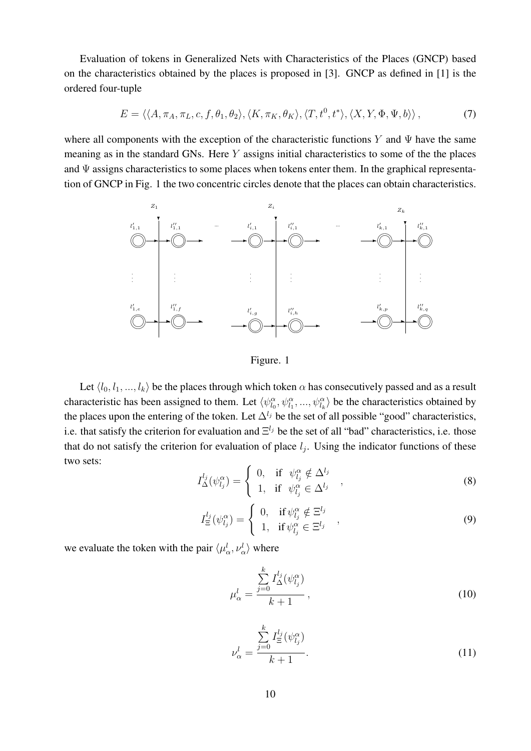Evaluation of tokens in Generalized Nets with Characteristics of the Places (GNCP) based on the characteristics obtained by the places is proposed in [3]. GNCP as defined in [1] is the ordered four-tuple

$$
E = \langle \langle A, \pi_A, \pi_L, c, f, \theta_1, \theta_2 \rangle, \langle K, \pi_K, \theta_K \rangle, \langle T, t^0, t^* \rangle, \langle X, Y, \Phi, \Psi, b \rangle \rangle, \tag{7}
$$

where all components with the exception of the characteristic functions Y and  $\Psi$  have the same meaning as in the standard GNs. Here Y assigns initial characteristics to some of the the places and  $\Psi$  assigns characteristics to some places when tokens enter them. In the graphical representation of GNCP in Fig. 1 the two concentric circles denote that the places can obtain characteristics.



Figure. 1

Let  $\langle l_0, l_1, ..., l_k \rangle$  be the places through which token  $\alpha$  has consecutively passed and as a result characteristic has been assigned to them. Let  $\langle \psi_{l_0}^{\alpha}, \psi_{l_1}^{\alpha}, ..., \psi_{l_k}^{\alpha} \rangle$  be the characteristics obtained by the places upon the entering of the token. Let  $\Delta^{l_j}$  be the set of all possible "good" characteristics, i.e. that satisfy the criterion for evaluation and  $\Xi^{l_j}$  be the set of all "bad" characteristics, i.e. those that do not satisfy the criterion for evaluation of place  $l_j$ . Using the indicator functions of these two sets:

$$
I_{\Delta}^{l_j}(\psi_{l_j}^{\alpha}) = \begin{cases} 0, & \text{if } \psi_{l_j}^{\alpha} \notin \Delta^{l_j} \\ 1, & \text{if } \psi_{l_j}^{\alpha} \in \Delta^{l_j} \end{cases}, \tag{8}
$$

$$
I_{\Xi}^{l_j}(\psi_{l_j}^{\alpha}) = \begin{cases} 0, & \text{if } \psi_{l_j}^{\alpha} \notin \Xi^{l_j} \\ 1, & \text{if } \psi_{l_j}^{\alpha} \in \Xi^{l_j} \end{cases}, \tag{9}
$$

we evaluate the token with the pair  $\langle \mu_{\alpha}^l, \nu_{\alpha}^l \rangle$  where

$$
\mu_{\alpha}^{l} = \frac{\sum\limits_{j=0}^{k} I_{\Delta}^{l_j}(\psi_{l_j}^{\alpha})}{k+1},
$$
\n(10)

$$
\nu_{\alpha}^{l} = \frac{\sum\limits_{j=0}^{k} I_{\Xi}^{l_j}(\psi_{l_j}^{\alpha})}{k+1}.
$$
\n(11)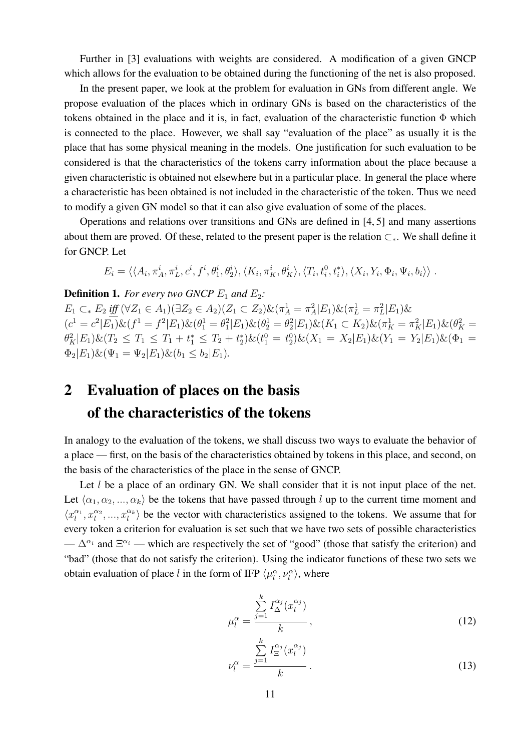Further in [3] evaluations with weights are considered. A modification of a given GNCP which allows for the evaluation to be obtained during the functioning of the net is also proposed.

In the present paper, we look at the problem for evaluation in GNs from different angle. We propose evaluation of the places which in ordinary GNs is based on the characteristics of the tokens obtained in the place and it is, in fact, evaluation of the characteristic function  $\Phi$  which is connected to the place. However, we shall say "evaluation of the place" as usually it is the place that has some physical meaning in the models. One justification for such evaluation to be considered is that the characteristics of the tokens carry information about the place because a given characteristic is obtained not elsewhere but in a particular place. In general the place where a characteristic has been obtained is not included in the characteristic of the token. Thus we need to modify a given GN model so that it can also give evaluation of some of the places.

Operations and relations over transitions and GNs are defined in [4, 5] and many assertions about them are proved. Of these, related to the present paper is the relation ⊂∗. We shall define it for GNCP. Let

$$
E_i = \langle \langle A_i, \pi_A^i, \pi_L^i, c^i, f^i, \theta_1^i, \theta_2^i \rangle, \langle K_i, \pi_K^i, \theta_K^i \rangle, \langle T_i, t_i^0, t_i^* \rangle, \langle X_i, Y_i, \Phi_i, \Psi_i, b_i \rangle \rangle.
$$

**Definition 1.** For every two GNCP  $E_1$  and  $E_2$ :

 $E_1 \subset_* E_2 \underbrace{\text{iff}} (\forall Z_1 \in A_1)(\exists Z_2 \in A_2)(Z_1 \subset Z_2) \& (\pi_A^1 = \pi_A^2 | E_1) \& (\pi_L^1 = \pi_L^2 | E_1) \&$  $(c^1 = c^2 | E_1) \& (f^1 = f^2 | E_1) \& (\theta_1^1 = \theta_1^2 | E_1) \& (\theta_2^1 = \theta_2^2 | E_1) \& (K_1 \subset K_2) \& (\pi_K^1 = \pi_K^2 | E_1) \& (\theta_K^2 = \pi_K^2 | E_1) \& (\theta_K^2 = \pi_K^2 | E_1) \& (\theta_K^2 = \pi_K^2 | E_1) \& (\theta_K^2 = \pi_K^2 | E_1) \& (\theta_K^2 = \pi_K^2 | E_1) \& (\theta_K^2 = \pi_K^2 | E_1) \& (\theta_K^2 = \pi_K^2 | E$  $\theta_K^2 |E_1\rangle \& (T_2 \leq T_1 \leq T_1 + t_1^* \leq T_2 + t_2^*) \& (t_1^0 = t_2^0) \& (X_1 = X_2 |E_1\rangle \& (Y_1 = Y_2 |E_1) \& (\Phi_1 = t_2^0) \& (Y_1 = t_1^*)$  $\Phi_2|E_1\rangle \& (\Psi_1 = \Psi_2|E_1\rangle \& (b_1 \leq b_2|E_1\rangle).$ 

## 2 Evaluation of places on the basis of the characteristics of the tokens

In analogy to the evaluation of the tokens, we shall discuss two ways to evaluate the behavior of a place — first, on the basis of the characteristics obtained by tokens in this place, and second, on the basis of the characteristics of the place in the sense of GNCP.

Let  $l$  be a place of an ordinary GN. We shall consider that it is not input place of the net. Let  $\langle \alpha_1, \alpha_2, ..., \alpha_k \rangle$  be the tokens that have passed through l up to the current time moment and  $\langle x_1^{\alpha_1}, x_1^{\alpha_2}, ..., x_l^{\alpha_k} \rangle$  be the vector with characteristics assigned to the tokens. We assume that for every token a criterion for evaluation is set such that we have two sets of possible characteristics  $-\Delta^{\alpha_i}$  and  $\Xi^{\alpha_i}$  — which are respectively the set of "good" (those that satisfy the criterion) and "bad" (those that do not satisfy the criterion). Using the indicator functions of these two sets we obtain evaluation of place l in the form of IFP  $\langle \mu_l^{\alpha}, \nu_l^{\alpha} \rangle$ , where

$$
\mu_l^{\alpha} = \frac{\sum\limits_{j=1}^k I_{\Delta}^{\alpha_j}(x_l^{\alpha_j})}{k},\tag{12}
$$

$$
\nu_l^{\alpha} = \frac{\sum\limits_{j=1}^k I_{\Xi}^{\alpha_j}(x_l^{\alpha_j})}{k}.
$$
\n(13)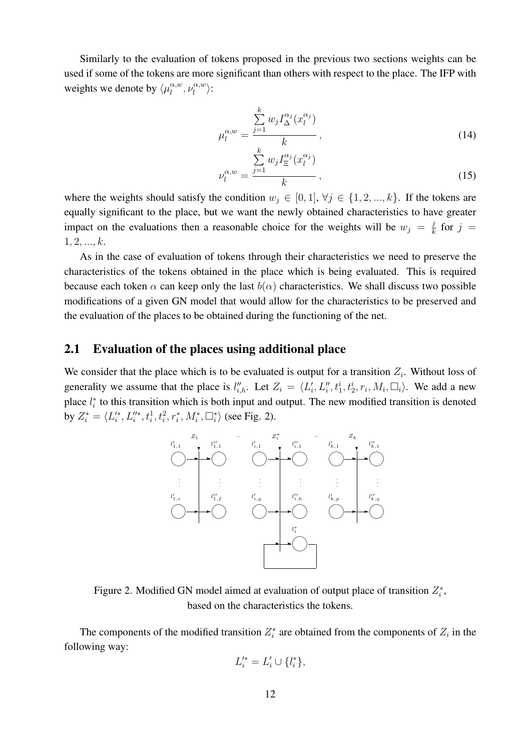Similarly to the evaluation of tokens proposed in the previous two sections weights can be used if some of the tokens are more significant than others with respect to the place. The IFP with weights we denote by  $\langle \mu_l^{\alpha,w} \rangle$  $\alpha, w$ ,  $\nu_l^{\alpha, w}$  $\binom{\alpha,w}{l}$ :

$$
\mu_l^{\alpha, w} = \frac{\sum\limits_{j=1}^k w_j I_{\Delta}^{\alpha_j}(x_l^{\alpha_j})}{k}, \qquad (14)
$$

$$
\nu_l^{\alpha, w} = \frac{\sum\limits_{j=1}^k w_j I_{\Xi}^{\alpha_j}(x_l^{\alpha_j})}{k}, \qquad (15)
$$

where the weights should satisfy the condition  $w_j \in [0,1], \forall j \in \{1,2,...,k\}$ . If the tokens are equally significant to the place, but we want the newly obtained characteristics to have greater impact on the evaluations then a reasonable choice for the weights will be  $w_j = \frac{j}{k}$  $\frac{j}{k}$  for  $j =$  $1, 2, ..., k.$ 

As in the case of evaluation of tokens through their characteristics we need to preserve the characteristics of the tokens obtained in the place which is being evaluated. This is required because each token  $\alpha$  can keep only the last  $b(\alpha)$  characteristics. We shall discuss two possible modifications of a given GN model that would allow for the characteristics to be preserved and the evaluation of the places to be obtained during the functioning of the net.

#### 2.1 Evaluation of the places using additional place

We consider that the place which is to be evaluated is output for a transition  $Z_i$ . Without loss of generality we assume that the place is  $l''_{i,h}$ . Let  $Z_i = \langle L'_i, L''_i, t^i_1, t^i_2, r_i, M_i, \Box_i \rangle$ . We add a new place  $l_i^*$  to this transition which is both input and output. The new modified transition is denoted by  $Z_i^* = \langle L_i^{\'}, L_i^{\'}, t_i^1, t_i^2, r_i^*, M_i^*, \square_i^* \rangle$  (see Fig. 2).



Figure 2. Modified GN model aimed at evaluation of output place of transition  $Z_i^*$ , based on the characteristics the tokens.

The components of the modified transition  $Z_i^*$  are obtained from the components of  $Z_i$  in the following way:

$$
L_i^{\prime *} = L_i' \cup \{l_i^*\},
$$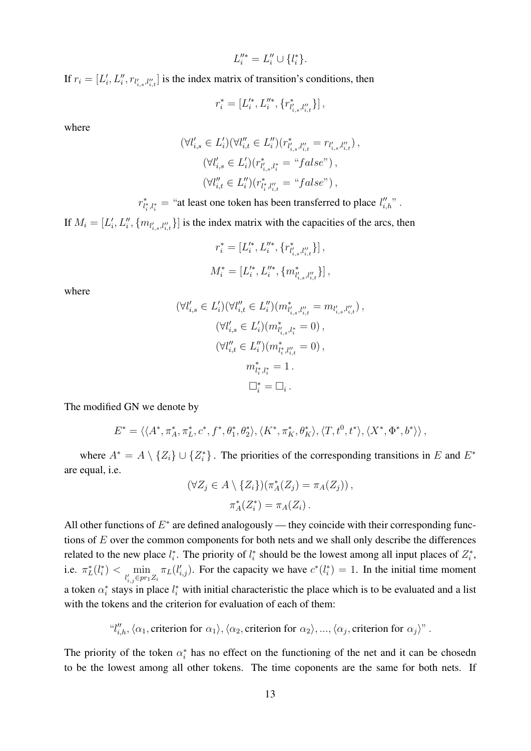$$
L_i''^* = L_i'' \cup \{l_i^*\}.
$$

If  $r_i = [L'_i, L''_i, r_{l'_{i,s},l''_{i,t}}]$  is the index matrix of transition's conditions, then

$$
r_i^* = [L_i^{\prime *}, L_i^{\prime \prime *}, \{r_{l_{i,s}^\prime, l_{i,t}^{\prime \prime}}^* \} ] \, ,
$$

where

$$
(\forall l'_{i,s} \in L'_{i})(\forall l''_{i,t} \in L''_{i})(r^*_{l'_{i,s},l''_{i,t}} = r_{l'_{i,s},l''_{i,t}}),
$$
  

$$
(\forall l'_{i,s} \in L'_{i})(r^*_{l'_{i,s},l^{*}_{i}} = "false"),
$$
  

$$
(\forall l''_{i,t} \in L''_{i})(r^*_{l^*_{i},l''_{i,t}} = "false"),
$$

 $r_{l_i^*,l_i^*}^*$  = "at least one token has been transferred to place  $l_{i,h}''$ ".

If  $M_i = [L'_i, L''_i, \{m_{l'_{i,s},l''_{i,t}}\}]$  is the index matrix with the capacities of the arcs, then

$$
\begin{aligned} r_i^* &= \left[L_i^{\prime *}, L_i^{\prime *}, \{r_{l_{i,s}^\prime, l_{i,t}^{\prime \prime}}^*\}\right], \\ M_i^* &= \left[L_i^{\prime *}, L_i^{\prime \prime *}, \{m_{l_{i,s}^\prime, l_{i,t}^{\prime \prime}}^*\}\right], \end{aligned}
$$

where

$$
(\forall l'_{i,s} \in L'_{i})(\forall l''_{i,t} \in L''_{i})(m^*_{l'_{i,s},l''_{i,t}} = m_{l'_{i,s},l''_{i,t}}),
$$
  
\n
$$
(\forall l'_{i,s} \in L'_{i})(m^*_{l'_{i,s},l^{*}_{i}} = 0),
$$
  
\n
$$
(\forall l''_{i,t} \in L''_{i})(m^*_{l^{*}_{i},l''_{i,t}} = 0),
$$
  
\n
$$
m^*_{l^{*}_{i},l^{*}_{i}} = 1.
$$
  
\n
$$
\Box^{*}_{i} = \Box_{i}.
$$

The modified GN we denote by

$$
E^*=\langle\langle A^*, \pi_A^*, \pi_L^*, c^*, f^*, \theta_1^*, \theta_2^*\rangle, \langle K^*, \pi_K^*, \theta_K^*\rangle, \langle T, t^0, t^*\rangle, \langle X^*, \Phi^*, b^*\rangle\rangle,
$$

where  $A^* = A \setminus \{Z_i\} \cup \{Z_i^*\}$ . The priorities of the corresponding transitions in E and  $E^*$ are equal, i.e.

$$
(\forall Z_j \in A \setminus \{Z_i\}) (\pi_A^*(Z_j) = \pi_A(Z_j)),
$$
  

$$
\pi_A^*(Z_i^*) = \pi_A(Z_i).
$$

All other functions of  $E^*$  are defined analogously — they coincide with their corresponding functions of E over the common components for both nets and we shall only describe the differences related to the new place  $l_i^*$ . The priority of  $l_i^*$  should be the lowest among all input places of  $Z_i^*$ , i.e.  $\pi_L^*(l_i^*) < \min_{l'_{i,j} \in pr_1 Z_i}$  $\pi_L(l'_{i,j})$ . For the capacity we have  $c^*(l_i^*) = 1$ . In the initial time moment a token  $\alpha_i^*$  stays in place  $l_i^*$  with initial characteristic the place which is to be evaluated and a list with the tokens and the criterion for evaluation of each of them:

 $\langle u''_{i,h}, \langle \alpha_1,$  criterion for  $\alpha_1 \rangle$ ,  $\langle \alpha_2,$  criterion for  $\alpha_2 \rangle$ , ...,  $\langle \alpha_j,$  criterion for  $\alpha_j \rangle$ ".

The priority of the token  $\alpha_i^*$  has no effect on the functioning of the net and it can be chosedn to be the lowest among all other tokens. The time coponents are the same for both nets. If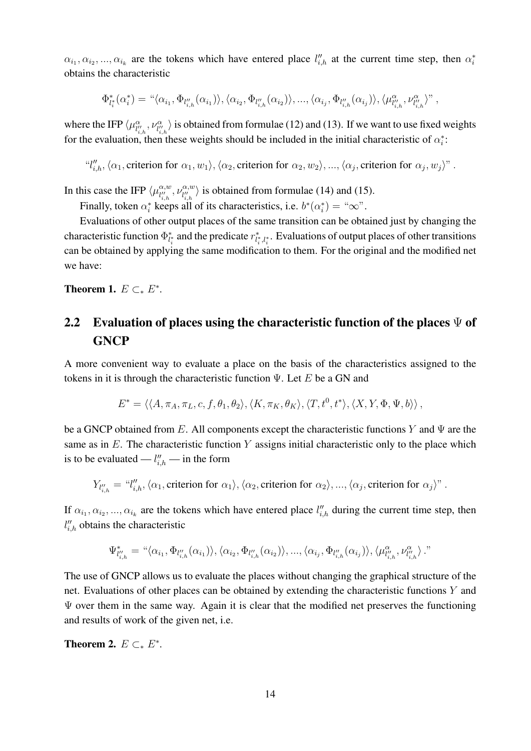$\alpha_{i_1}, \alpha_{i_2}, ..., \alpha_{i_k}$  are the tokens which have entered place  $l''_{i,h}$  at the current time step, then  $\alpha_i^*$ obtains the characteristic

$$
\Phi_{l_i^*}^*(\alpha_i^*) = \text{``}\langle \alpha_{i_1}, \Phi_{l_{i,h}''}(\alpha_{i_1}) \rangle, \langle \alpha_{i_2}, \Phi_{l_{i,h}''}(\alpha_{i_2}) \rangle, ..., \langle \alpha_{i_j}, \Phi_{l_{i,h}''}(\alpha_{i_j}) \rangle, \langle \mu_{l_{i,h}''}^{\alpha}, \nu_{l_{i,h}''}^{\alpha} \rangle
$$
"

where the IFP  $\langle \mu_{l'_{i,h}}^{\alpha}, \nu_{l''_{i,h}}^{\alpha} \rangle$  is obtained from formulae (12) and (13). If we want to use fixed weights for the evaluation, then these weights should be included in the initial characteristic of  $\alpha_i^*$ :

 $\langle u''_{i,h}, \langle \alpha_1,$  criterion for  $\alpha_1, w_1 \rangle$ ,  $\langle \alpha_2$ , criterion for  $\alpha_2, w_2 \rangle$ , ...,  $\langle \alpha_j,$  criterion for  $\alpha_j, w_j \rangle$ ".

In this case the IFP  $\langle \mu_{\mu\nu}^{\alpha,w} \rangle$  $\alpha, w \atop l''_{i,h}$ ,  $\nu^{\alpha, w}_{l''_{i,h}}$  $\begin{bmatrix} \alpha,w\\ l'_{i,h} \end{bmatrix}$  is obtained from formulae (14) and (15).

Finally, token  $\alpha_i^*$  keeps all of its characteristics, i.e.  $b^*(\alpha_i^*) = \alpha_i^* \infty$ .

Evaluations of other output places of the same transition can be obtained just by changing the characteristic function  $\Phi_{l_i^*}^*$  and the predicate  $r_{l_i^*,l_i^*}^*$ . Evaluations of output places of other transitions can be obtained by applying the same modification to them. For the original and the modified net we have:

**Theorem 1.**  $E \subset B^*$ .

## 2.2 Evaluation of places using the characteristic function of the places  $\Psi$  of **GNCP**

A more convenient way to evaluate a place on the basis of the characteristics assigned to the tokens in it is through the characteristic function  $\Psi$ . Let E be a GN and

$$
E^* = \langle \langle A, \pi_A, \pi_L, c, f, \theta_1, \theta_2 \rangle, \langle K, \pi_K, \theta_K \rangle, \langle T, t^0, t^* \rangle, \langle X, Y, \Phi, \Psi, b \rangle \rangle,
$$

be a GNCP obtained from E. All components except the characteristic functions Y and  $\Psi$  are the same as in  $E$ . The characteristic function Y assigns initial characteristic only to the place which is to be evaluated —  $l''_{i,h}$  — in the form

$$
Y_{l''_{i,h}} = "l''_{i,h}, \langle \alpha_1, \text{criterion for } \alpha_1 \rangle, \langle \alpha_2, \text{criterion for } \alpha_2 \rangle, ..., \langle \alpha_j, \text{criterion for } \alpha_j \rangle"
$$

If  $\alpha_{i_1}, \alpha_{i_2}, ..., \alpha_{i_k}$  are the tokens which have entered place  $l''_{i,h}$  during the current time step, then  $l''_{i,h}$  obtains the characteristic

$$
\Psi^*_{l''_{i,h}} = \text{``}\langle \alpha_{i_1}, \Phi_{l''_{i,h}}(\alpha_{i_1}) \rangle, \langle \alpha_{i_2}, \Phi_{l''_{i,h}}(\alpha_{i_2}) \rangle, ..., \langle \alpha_{i_j}, \Phi_{l''_{i,h}}(\alpha_{i_j}) \rangle, \langle \mu^\alpha_{l''_{i,h}}, \nu^\alpha_{l''_{i,h}} \rangle \text{''}
$$

The use of GNCP allows us to evaluate the places without changing the graphical structure of the net. Evaluations of other places can be obtained by extending the characteristic functions Y and  $\Psi$  over them in the same way. Again it is clear that the modified net preserves the functioning and results of work of the given net, i.e.

**Theorem 2.**  $E \subset K^*$ .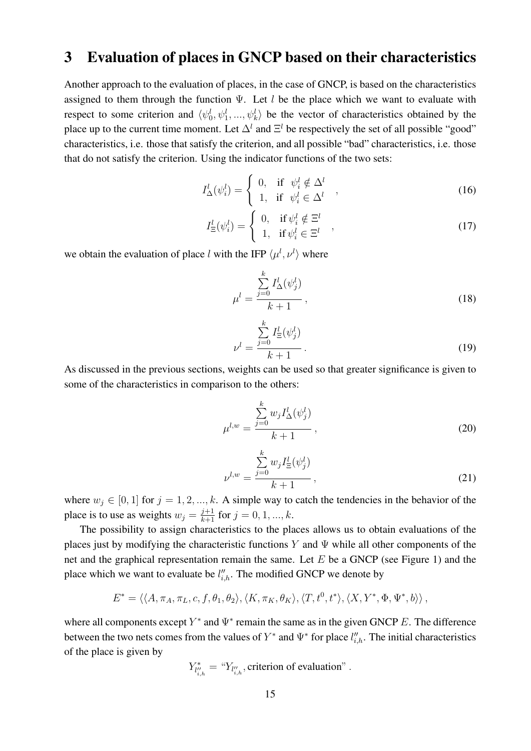## 3 Evaluation of places in GNCP based on their characteristics

Another approach to the evaluation of places, in the case of GNCP, is based on the characteristics assigned to them through the function  $\Psi$ . Let l be the place which we want to evaluate with respect to some criterion and  $\langle \psi_0^l, \psi_1^l, ..., \psi_k^l \rangle$  be the vector of characteristics obtained by the place up to the current time moment. Let  $\Delta^l$  and  $\Xi^l$  be respectively the set of all possible "good" characteristics, i.e. those that satisfy the criterion, and all possible "bad" characteristics, i.e. those that do not satisfy the criterion. Using the indicator functions of the two sets:

$$
I^l_{\Delta}(\psi_i^l) = \begin{cases} 0, & \text{if } \psi_i^l \notin \Delta^l \\ 1, & \text{if } \psi_i^l \in \Delta^l \end{cases} ,
$$
 (16)

$$
I_{\Xi}^{l}(\psi_{i}^{l}) = \begin{cases} 0, & \text{if } \psi_{i}^{l} \notin \Xi^{l} \\ 1, & \text{if } \psi_{i}^{l} \in \Xi^{l} \end{cases} , \qquad (17)
$$

we obtain the evaluation of place l with the IFP  $\langle \mu^l, \nu^l \rangle$  where

$$
\mu^l = \frac{\sum\limits_{j=0}^k I^l_{\Delta}(\psi^l_j)}{k+1},\tag{18}
$$

$$
\nu^{l} = \frac{\sum_{j=0}^{k} I_{\Xi}^{l}(\psi_{j}^{l})}{k+1}.
$$
\n(19)

As discussed in the previous sections, weights can be used so that greater significance is given to some of the characteristics in comparison to the others:

$$
\mu^{l,w} = \frac{\sum_{j=0}^{k} w_j I_{\Delta}^l(\psi_j^l)}{k+1},
$$
\n(20)

$$
\nu^{l,w} = \frac{\sum_{j=0}^{k} w_j I_{\Xi}^l(\psi_j^l)}{k+1},
$$
\n(21)

where  $w_j \in [0, 1]$  for  $j = 1, 2, ..., k$ . A simple way to catch the tendencies in the behavior of the place is to use as weights  $w_j = \frac{j+1}{k+1}$  for  $j = 0, 1, ..., k$ .

The possibility to assign characteristics to the places allows us to obtain evaluations of the places just by modifying the characteristic functions Y and  $\Psi$  while all other components of the net and the graphical representation remain the same. Let  $E$  be a GNCP (see Figure 1) and the place which we want to evaluate be  $l''_{i,h}$ . The modified GNCP we denote by

$$
E^* = \langle \langle A, \pi_A, \pi_L, c, f, \theta_1, \theta_2 \rangle, \langle K, \pi_K, \theta_K \rangle, \langle T, t^0, t^* \rangle, \langle X, Y^*, \Phi, \Psi^*, b \rangle \rangle,
$$

where all components except  $Y^*$  and  $\Psi^*$  remain the same as in the given GNCP E. The difference between the two nets comes from the values of  $Y^*$  and  $\Psi^*$  for place  $l''_{i,h}$ . The initial characteristics of the place is given by

$$
Y_{l''_{i,h}}^* = "Y_{l''_{i,h}},
$$
 criterion of evaluation".